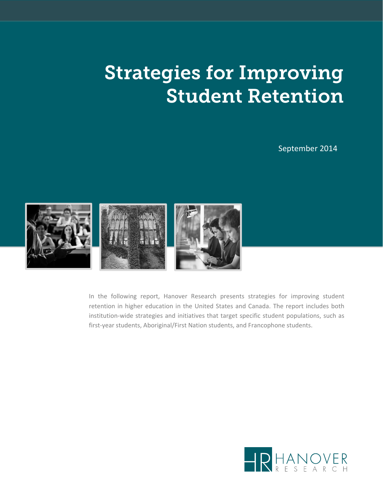# Strategies for Improving Student Retention

September 2014



In the following report, Hanover Research presents strategies for improving student retention in higher education in the United States and Canada. The report includes both institution‐wide strategies and initiatives that target specific student populations, such as first-year students, Aboriginal/First Nation students, and Francophone students.

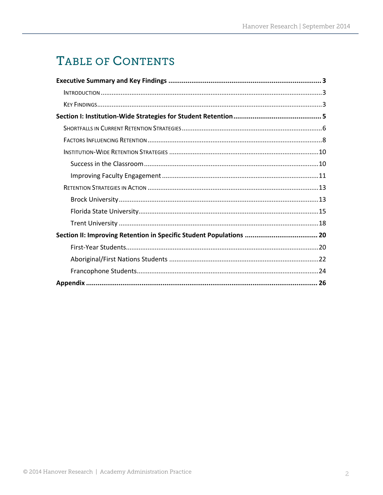# TABLE OF CONTENTS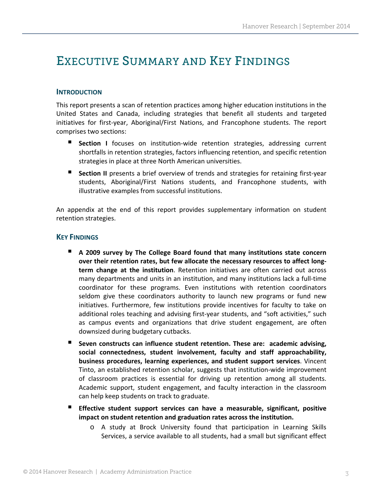### EXECUTIVE SUMMARY AND KEY FINDINGS

#### **INTRODUCTION**

This report presents a scan of retention practices among higher education institutions in the United States and Canada, including strategies that benefit all students and targeted initiatives for first‐year, Aboriginal/First Nations, and Francophone students. The report comprises two sections:

- **Section I** focuses on institution-wide retention strategies, addressing current shortfalls in retention strategies, factors influencing retention, and specific retention strategies in place at three North American universities.
- **Section II** presents a brief overview of trends and strategies for retaining first-year students, Aboriginal/First Nations students, and Francophone students, with illustrative examples from successful institutions.

An appendix at the end of this report provides supplementary information on student retention strategies.

#### **KEY FINDINGS**

- **A 2009 survey by The College Board found that many institutions state concern over their retention rates, but few allocate the necessary resources to affect long‐ term change at the institution**. Retention initiatives are often carried out across many departments and units in an institution, and many institutions lack a full‐time coordinator for these programs. Even institutions with retention coordinators seldom give these coordinators authority to launch new programs or fund new initiatives. Furthermore, few institutions provide incentives for faculty to take on additional roles teaching and advising first‐year students, and "soft activities," such as campus events and organizations that drive student engagement, are often downsized during budgetary cutbacks.
- **Seven constructs can influence student retention. These are: academic advising, social connectedness, student involvement, faculty and staff approachability, business procedures, learning experiences, and student support services**. Vincent Tinto, an established retention scholar, suggests that institution‐wide improvement of classroom practices is essential for driving up retention among all students. Academic support, student engagement, and faculty interaction in the classroom can help keep students on track to graduate.
- **Effective student support services can have a measurable, significant, positive impact on student retention and graduation rates across the institution.**
	- o A study at Brock University found that participation in Learning Skills Services, a service available to all students, had a small but significant effect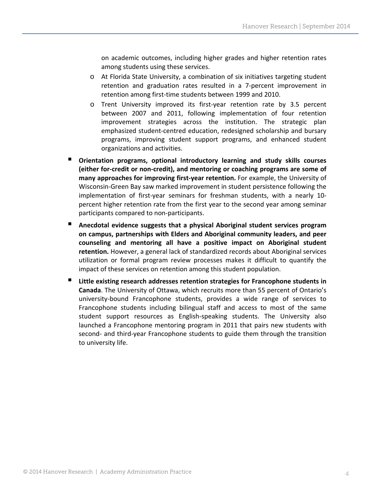on academic outcomes, including higher grades and higher retention rates among students using these services.

- $\circ$  At Florida State University, a combination of six initiatives targeting student retention and graduation rates resulted in a 7‐percent improvement in retention among first‐time students between 1999 and 2010.
- o Trent University improved its first‐year retention rate by 3.5 percent between 2007 and 2011, following implementation of four retention improvement strategies across the institution. The strategic plan emphasized student-centred education, redesigned scholarship and bursary programs, improving student support programs, and enhanced student organizations and activities.
- **Orientation programs, optional introductory learning and study skills courses (either for‐credit or non‐credit), and mentoring or coaching programs are some of many approaches for improving first‐year retention.** For example, the University of Wisconsin‐Green Bay saw marked improvement in student persistence following the implementation of first-year seminars for freshman students, with a nearly 10percent higher retention rate from the first year to the second year among seminar participants compared to non‐participants.
- **Anecdotal evidence suggests that a physical Aboriginal student services program on campus, partnerships with Elders and Aboriginal community leaders, and peer counseling and mentoring all have a positive impact on Aboriginal student retention.** However, a general lack of standardized records about Aboriginal services utilization or formal program review processes makes it difficult to quantify the impact of these services on retention among this student population.
- **Little existing research addresses retention strategies for Francophone students in Canada**. The University of Ottawa, which recruits more than 55 percent of Ontario's university‐bound Francophone students, provides a wide range of services to Francophone students including bilingual staff and access to most of the same student support resources as English‐speaking students. The University also launched a Francophone mentoring program in 2011 that pairs new students with second- and third-year Francophone students to guide them through the transition to university life.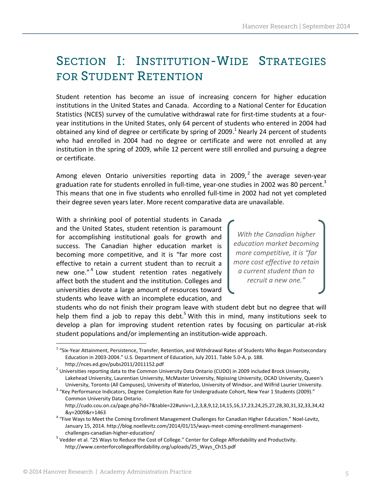# SECTION I: INSTITUTION-WIDE STRATEGIES FOR STUDENT RETENTION

Student retention has become an issue of increasing concern for higher education institutions in the United States and Canada. According to a National Center for Education Statistics (NCES) survey of the cumulative withdrawal rate for first‐time students at a four‐ year institutions in the United States, only 64 percent of students who entered in 2004 had obtained any kind of degree or certificate by spring of 2009. $<sup>1</sup>$  Nearly 24 percent of students</sup> who had enrolled in 2004 had no degree or certificate and were not enrolled at any institution in the spring of 2009, while 12 percent were still enrolled and pursuing a degree or certificate.

Among eleven Ontario universities reporting data in 2009,<sup>2</sup> the average seven-year graduation rate for students enrolled in full-time, year-one studies in 2002 was 80 percent.<sup>3</sup> This means that one in five students who enrolled full‐time in 2002 had not yet completed their degree seven years later. More recent comparative data are unavailable.

With a shrinking pool of potential students in Canada and the United States, student retention is paramount for accomplishing institutional goals for growth and success. The Canadian higher education market is becoming more competitive, and it is "far more cost effective to retain a current student than to recruit a new one."<sup>4</sup> Low student retention rates negatively affect both the student and the institution. Colleges and universities devote a large amount of resources toward students who leave with an incomplete education, and

*With the Canadian higher education market becoming more competitive, it is "far more cost effective to retain a current student than to recruit a new one."*

students who do not finish their program leave with student debt but no degree that will help them find a job to repay this debt.<sup>5</sup> With this in mind, many institutions seek to develop a plan for improving student retention rates by focusing on particular at‐risk student populations and/or implementing an institution‐wide approach.

<sup>&</sup>lt;sup>1</sup> "Six-Year Attainment, Persistence, Transfer, Retention, and Withdrawal Rates of Students Who Began Postsecondary Education in 2003‐2004." U.S. Department of Education, July 2011. Table 5.0‐A, p. 188.

http://nces.ed.gov/pubs2011/2011152.pdf <sup>2</sup> Universities reporting data to the Common University Data Ontario (CUDO) in <sup>2009</sup> included Brock University, Lakehead University, Laurentian University, McMaster University, Nipissing University, OCAD University, Queen's University, Toronto (All Campuses), University of Waterloo, University of Windsor, and Wilfrid Laurier University. <sup>3</sup> "Key Performance Indicators, Degree Completion Rate for Undergraduate Cohort, New Year <sup>1</sup> Students (2009)."

Common University Data Ontario.

http://cudo.cou.on.ca/page.php?id=7&table=22#univ=1,2,3,8,9,12,14,15,16,17,23,24,25,27,28,30,31,32,33,34,42

<sup>&</sup>amp;y=2009&r=1463 <sup>4</sup> "Five Ways to Meet the Coming Enrollment Management Challenges for Canadian Higher Education." Noel‐Levitz, January 15, 2014. http://blog.noellevitz.com/2014/01/15/ways-meet-coming-enrollment-managementchallenges‐canadian‐higher‐education/ <sup>5</sup> Vedder et al. "25 Ways to Reduce the Cost of College." Center for College Affordability and Productivity.

http://www.centerforcollegeaffordability.org/uploads/25\_Ways\_Ch15.pdf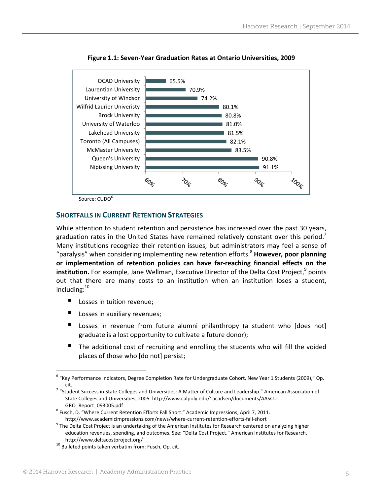

**Figure 1.1: Seven‐Year Graduation Rates at Ontario Universities, 2009**

Source: CUDO<sup>6</sup>

#### **SHORTFALLS IN CURRENT RETENTION STRATEGIES**

While attention to student retention and persistence has increased over the past 30 years, graduation rates in the United States have remained relatively constant over this period.<sup>7</sup> Many institutions recognize their retention issues, but administrators may feel a sense of "paralysis" when considering implementing new retention efforts.<sup>8</sup> **However, poor planning or implementation of retention policies can have far‐reaching financial effects on the institution.** For example, Jane Wellman, Executive Director of the Delta Cost Project,<sup>9</sup> points out that there are many costs to an institution when an institution loses a student, including: $^{10}$ 

- Losses in tuition revenue;
- Losses in auxiliary revenues;
- Losses in revenue from future alumni philanthropy (a student who [does not] graduate is a lost opportunity to cultivate a future donor);
- The additional cost of recruiting and enrolling the students who will fill the voided places of those who [do not] persist;

 <sup>6</sup> "Key Performance Indicators, Degree Completion Rate for Undergraduate Cohort, New Year 1 Students (2009)," Op.

cit. <sup>7</sup> "Student Success in State Colleges and Universities: <sup>A</sup> Matter of Culture and Leadership." American Association of State Colleges and Universities, 2005. http://www.calpoly.edu/~acadsen/documents/AASCU‐

GRO\_Report\_093005.pdf <sup>8</sup> Fusch, D. "Where Current Retention Efforts Fall Short." Academic Impressions, April 7, 2011.

http://www.academicimpressions.com/news/where-current-retention-efforts-fall-short<br><sup>9</sup> The Delta Cost Project is an undertaking of the American Institutes for Research centered on analyzing higher education revenues, spending, and outcomes. See: "Delta Cost Project." American Institutes for Research.

http://www.deltacostproject.org/<br><sup>10</sup> Bulleted points taken verbatim from: Fusch, Op. cit.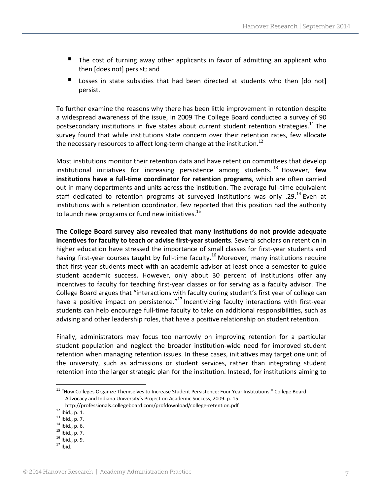- The cost of turning away other applicants in favor of admitting an applicant who then [does not] persist; and
- Losses in state subsidies that had been directed at students who then [do not] persist.

To further examine the reasons why there has been little improvement in retention despite a widespread awareness of the issue, in 2009 The College Board conducted a survey of 90 postsecondary institutions in five states about current student retention strategies.<sup>11</sup> The survey found that while institutions state concern over their retention rates, few allocate the necessary resources to affect long-term change at the institution.<sup>12</sup>

Most institutions monitor their retention data and have retention committees that develop institutional initiatives for increasing persistence among students.<sup>13</sup> However, few **institutions have a full‐time coordinator for retention programs**, which are often carried out in many departments and units across the institution. The average full-time equivalent staff dedicated to retention programs at surveyed institutions was only .29.<sup>14</sup> Even at institutions with a retention coordinator, few reported that this position had the authority to launch new programs or fund new initiatives. $^{15}$ 

**The College Board survey also revealed that many institutions do not provide adequate incentives for faculty to teach or advise first‐year students**. Several scholars on retention in higher education have stressed the importance of small classes for first-year students and having first-year courses taught by full-time faculty.<sup>16</sup> Moreover, many institutions require that first-year students meet with an academic advisor at least once a semester to guide student academic success. However, only about 30 percent of institutions offer any incentives to faculty for teaching first‐year classes or for serving as a faculty advisor. The College Board argues that "interactions with faculty during student's first year of college can have a positive impact on persistence." $^{17}$  Incentivizing faculty interactions with first-year students can help encourage full-time faculty to take on additional responsibilities, such as advising and other leadership roles, that have a positive relationship on student retention.

Finally, administrators may focus too narrowly on improving retention for a particular student population and neglect the broader institution-wide need for improved student retention when managing retention issues. In these cases, initiatives may target one unit of the university, such as admissions or student services, rather than integrating student retention into the larger strategic plan for the institution. Instead, for institutions aiming to

<sup>&</sup>lt;sup>11</sup> "How Colleges Organize Themselves to Increase Student Persistence: Four Year Institutions." College Board Advocacy and Indiana University's Project on Academic Success, 2009. p. 15.

http://professionals.collegeboard.com/profdownload/college-retention.pdf<br>
<sup>12</sup> Ibid., p. 1.<br>
<sup>13</sup> Ibid., p. 7.<br>
<sup>14</sup> Ibid., p. 6.<br>
<sup>15</sup> Ibid., p. 7.<br>
<sup>16</sup> Ibid., p. 9.<br>
<sup>17</sup> Ibid.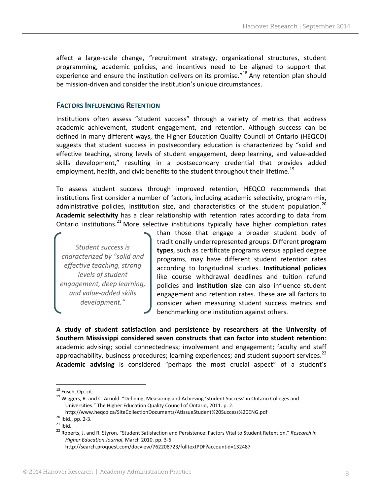affect a large-scale change, "recruitment strategy, organizational structures, student programming, academic policies, and incentives need to be aligned to support that experience and ensure the institution delivers on its promise."<sup>18</sup> Any retention plan should be mission-driven and consider the institution's unique circumstances.

#### **FACTORS INFLUENCING RETENTION**

Institutions often assess "student success" through a variety of metrics that address academic achievement, student engagement, and retention. Although success can be defined in many different ways, the Higher Education Quality Council of Ontario (HEQCO) suggests that student success in postsecondary education is characterized by "solid and effective teaching, strong levels of student engagement, deep learning, and value‐added skills development," resulting in a postsecondary credential that provides added employment, health, and civic benefits to the student throughout their lifetime.<sup>19</sup>

To assess student success through improved retention, HEQCO recommends that institutions first consider a number of factors, including academic selectivity, program mix, administrative policies, institution size, and characteristics of the student population.<sup>20</sup> **Academic selectivity** has a clear relationship with retention rates according to data from Ontario institutions.<sup>21</sup> More selective institutions typically have higher completion rates

*Student success is characterized by "solid and effective teaching, strong levels of student engagement, deep learning, and value‐added skills development."*

than those that engage a broader student body of traditionally underrepresented groups. Different **program types**, such as certificate programs versus applied degree programs, may have different student retention rates according to longitudinal studies. **Institutional policies** like course withdrawal deadlines and tuition refund policies and **institution size** can also influence student engagement and retention rates. These are all factors to consider when measuring student success metrics and benchmarking one institution against others.

**A study of student satisfaction and persistence by researchers at the University of Southern Mississippi considered seven constructs that can factor into student retention**: academic advising; social connectedness; involvement and engagement; faculty and staff approachability, business procedures; learning experiences; and student support services.<sup>22</sup> **Academic advising** is considered "perhaps the most crucial aspect" of a student's

<sup>&</sup>lt;sup>18</sup> Fusch, Op. cit.<br><sup>19</sup> Wiggers, R. and C. Arnold. "Defining, Measuring and Achieving 'Student Success' in Ontario Colleges and Universities." The Higher Education Quality Council of Ontario, 2011. p. 2.

http://www.heqco.ca/SiteCollectionDocuments/AtlssueStudent%20Success%20ENG.pdf<br><sup>20</sup> Ibid., pp. 2-3.<br><sup>21</sup> Ibid.<br><sup>22</sup> Roberts, J. and R. Styron. "Student Satisfaction and Persistence: Factors Vital to Student Retention." Res

*Higher Education Journal*, March 2010. pp. 3‐6.

http://search.proquest.com/docview/762208723/fulltextPDF?accountid=132487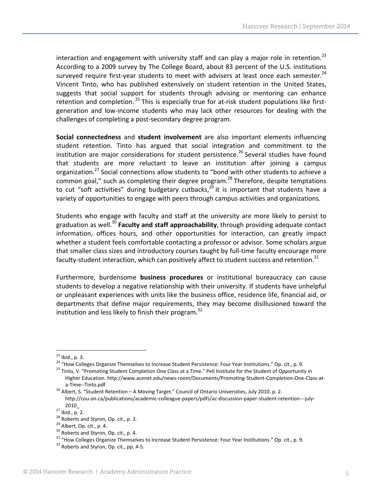interaction and engagement with university staff and can play a major role in retention.<sup>23</sup> According to a 2009 survey by The College Board, about 83 percent of the U.S. institutions surveyed require first-year students to meet with advisers at least once each semester. $^{24}$ Vincent Tinto, who has published extensively on student retention in the United States, suggests that social support for students through advising or mentoring can enhance retention and completion.  $25$  This is especially true for at-risk student populations like firstgeneration and low‐income students who may lack other resources for dealing with the challenges of completing a post‐secondary degree program.

**Social connectedness** and **student involvement** are also important elements influencing student retention. Tinto has argued that social integration and commitment to the institution are major considerations for student persistence.<sup>26</sup> Several studies have found that students are more reluctant to leave an institution after joining a campus organization.<sup>27</sup> Social connections allow students to "bond with other students to achieve a common goal," such as completing their degree program.<sup>28</sup> Therefore, despite temptations to cut "soft activities" during budgetary cutbacks, $2^{\frac{3}{9}}$  it is important that students have a variety of opportunities to engage with peers through campus activities and organizations.

Students who engage with faculty and staff at the university are more likely to persist to graduation as well.30 **Faculty and staff approachability**, through providing adequate contact information, offices hours, and other opportunities for interaction, can greatly impact whether a student feels comfortable contacting a professor or advisor. Some scholars argue that smaller class sizes and introductory courses taught by full‐time faculty encourage more faculty-student interaction, which can positively affect to student success and retention.<sup>31</sup>

Furthermore, burdensome **business procedures** or institutional bureaucracy can cause students to develop a negative relationship with their university. If students have unhelpful or unpleasant experiences with units like the business office, residence life, financial aid, or departments that define major requirements, they may become disillusioned toward the institution and less likely to finish their program.<sup>32</sup>

<sup>&</sup>lt;sup>23</sup> Ibid., p. 3.<br><sup>24</sup> "How Colleges Organize Themselves to Increase Student Persistence: Four Year Institutions." Op. cit., p. 9.<br><sup>25</sup> Tinto, V. "Promoting Student Completion One Class at a Time." Pell Institute for the S

Higher Education. http://www.acenet.edu/news‐room/Documents/Promoting‐Student‐Completion‐One‐Class‐at‐

a-Time--Tinto.pdf<br><sup>26</sup> Albert, S. "Student Retention – A Moving Target." Council of Ontario Universities, July 2010. p. 2. http://cou.on.ca/publications/academic‐colleague‐papers/pdfs/ac‐discussion‐paper‐student‐retention‐‐‐july‐

<sup>2010</sup>\_<br>
27 Ibid., p. 2.<br>
28 Roberts and Styron, Op. cit., p. 3.<br>
29 Albert, Op. cit., p. 4.<br>
30 Roberts and Styron, Op. cit., p. 4.<br>
31 "How Colleges Organize Themselves to Increase Student Persistence: Four Year Instituti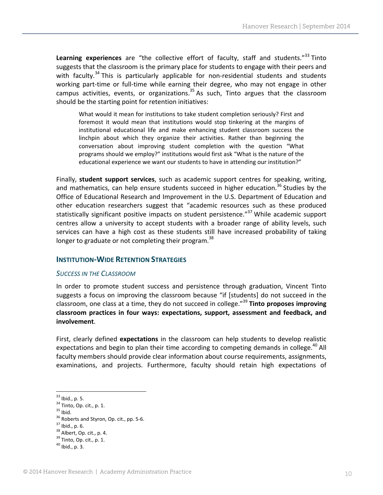Learning experiences are "the collective effort of faculty, staff and students."<sup>33</sup> Tinto suggests that the classroom is the primary place for students to engage with their peers and with faculty.<sup>34</sup> This is particularly applicable for non-residential students and students working part-time or full-time while earning their degree, who may not engage in other campus activities, events, or organizations.35 As such, Tinto argues that the classroom should be the starting point for retention initiatives:

What would it mean for institutions to take student completion seriously? First and foremost it would mean that institutions would stop tinkering at the margins of institutional educational life and make enhancing student classroom success the linchpin about which they organize their activities. Rather than beginning the conversation about improving student completion with the question "What programs should we employ?" institutions would first ask "What is the nature of the educational experience we want our students to have in attending our institution?"

Finally, **student support services**, such as academic support centres for speaking, writing, and mathematics, can help ensure students succeed in higher education.<sup>36</sup> Studies by the Office of Educational Research and Improvement in the U.S. Department of Education and other education researchers suggest that "academic resources such as these produced statistically significant positive impacts on student persistence."<sup>37</sup> While academic support centres allow a university to accept students with a broader range of ability levels, such services can have a high cost as these students still have increased probability of taking longer to graduate or not completing their program.<sup>38</sup>

#### **INSTITUTION‐WIDE RETENTION STRATEGIES**

#### *SUCCESS IN THE CLASSROOM*

In order to promote student success and persistence through graduation, Vincent Tinto suggests a focus on improving the classroom because "if [students] do not succeed in the classroom, one class at a time, they do not succeed in college."39 **Tinto proposes improving classroom practices in four ways: expectations, support, assessment and feedback, and involvement**.

First, clearly defined **expectations** in the classroom can help students to develop realistic expectations and begin to plan their time according to competing demands in college.<sup>40</sup> All faculty members should provide clear information about course requirements, assignments, examinations, and projects. Furthermore, faculty should retain high expectations of

<sup>&</sup>lt;sup>33</sup> Ibid., p. 5.<br><sup>34</sup> Tinto, Op. cit., p. 1.<br><sup>35</sup> Ibid.<br><sup>36</sup> Roberts and Styron, Op. cit., pp. 5–6.<br><sup>37</sup> Ibid., p. 6.<br><sup>38</sup> Albert, Op. cit., p. 4.<br><sup>39</sup> Tinto, Op. cit., p. 1.<br><sup>40</sup> Ibid., p. 3.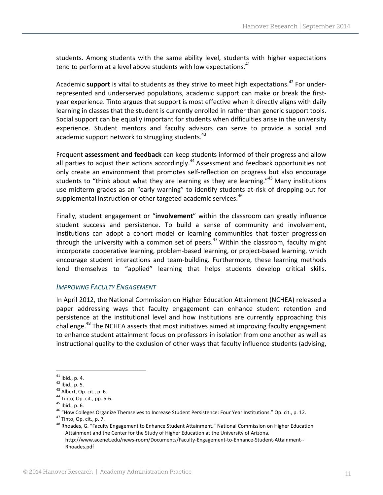students. Among students with the same ability level, students with higher expectations tend to perform at a level above students with low expectations. $41$ 

Academic **support** is vital to students as they strive to meet high expectations.<sup>42</sup> For underrepresented and underserved populations, academic support can make or break the firstyear experience. Tinto argues that support is most effective when it directly aligns with daily learning in classes that the student is currently enrolled in rather than generic support tools. Social support can be equally important for students when difficulties arise in the university experience. Student mentors and faculty advisors can serve to provide a social and academic support network to struggling students.<sup>43</sup>

Frequent **assessment and feedback** can keep students informed of their progress and allow all parties to adjust their actions accordingly.<sup>44</sup> Assessment and feedback opportunities not only create an environment that promotes self-reflection on progress but also encourage students to "think about what they are learning as they are learning."<sup>45</sup> Many institutions use midterm grades as an "early warning" to identify students at‐risk of dropping out for supplemental instruction or other targeted academic services.<sup>46</sup>

Finally, student engagement or "**involvement**" within the classroom can greatly influence student success and persistence. To build a sense of community and involvement, institutions can adopt a cohort model or learning communities that foster progression through the university with a common set of peers.<sup>47</sup> Within the classroom, faculty might incorporate cooperative learning, problem‐based learning, or project‐based learning, which encourage student interactions and team‐building. Furthermore, these learning methods lend themselves to "applied" learning that helps students develop critical skills.

#### *IMPROVING FACULTY ENGAGEMENT*

In April 2012, the National Commission on Higher Education Attainment (NCHEA) released a paper addressing ways that faculty engagement can enhance student retention and persistence at the institutional level and how institutions are currently approaching this challenge.<sup>48</sup> The NCHEA asserts that most initiatives aimed at improving faculty engagement to enhance student attainment focus on professors in isolation from one another as well as instructional quality to the exclusion of other ways that faculty influence students (advising,

<sup>&</sup>lt;sup>41</sup> Ibid., p. 4.<br>
<sup>42</sup> Ibid., p. 5.<br>
<sup>43</sup> Albert, Op. cit., p. 6.<br>
<sup>45</sup> Tinto, Op. cit., pp. 5-6.<br>
<sup>45</sup> Tinto, Op. cit., p. 7.<br>
<sup>45</sup> Tinto, Op. cit., p. 7.<br>
<sup>47</sup> Tinto, Op. cit., p. 7.<br>
<sup>48</sup> Rhoades, G. "Faculty Engageme Attainment and the Center for the Study of Higher Education at the University of Arizona.

http://www.acenet.edu/news‐room/Documents/Faculty‐Engagement‐to‐Enhance‐Student‐Attainment‐‐ Rhoades.pdf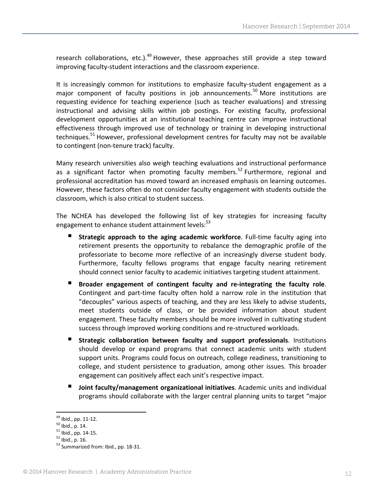research collaborations, etc.).<sup>49</sup> However, these approaches still provide a step toward improving faculty‐student interactions and the classroom experience.

It is increasingly common for institutions to emphasize faculty-student engagement as a major component of faculty positions in job announcements.<sup>50</sup> More institutions are requesting evidence for teaching experience (such as teacher evaluations) and stressing instructional and advising skills within job postings. For existing faculty, professional development opportunities at an institutional teaching centre can improve instructional effectiveness through improved use of technology or training in developing instructional techniques.<sup>51</sup> However, professional development centres for faculty may not be available to contingent (non-tenure track) faculty.

Many research universities also weigh teaching evaluations and instructional performance as a significant factor when promoting faculty members.<sup>52</sup> Furthermore, regional and professional accreditation has moved toward an increased emphasis on learning outcomes. However, these factors often do not consider faculty engagement with students outside the classroom, which is also critical to student success.

The NCHEA has developed the following list of key strategies for increasing faculty engagement to enhance student attainment levels:<sup>53</sup>

- **Strategic approach to the aging academic workforce**. Full‐time faculty aging into retirement presents the opportunity to rebalance the demographic profile of the professoriate to become more reflective of an increasingly diverse student body. Furthermore, faculty fellows programs that engage faculty nearing retirement should connect senior faculty to academic initiatives targeting student attainment.
- **Broader engagement of contingent faculty and re‐integrating the faculty role**. Contingent and part‐time faculty often hold a narrow role in the institution that "decouples" various aspects of teaching, and they are less likely to advise students, meet students outside of class, or be provided information about student engagement. These faculty members should be more involved in cultivating student success through improved working conditions and re‐structured workloads.
- **Strategic collaboration between faculty and support professionals**. Institutions should develop or expand programs that connect academic units with student support units. Programs could focus on outreach, college readiness, transitioning to college, and student persistence to graduation, among other issues. This broader engagement can positively affect each unit's respective impact.
- **Joint faculty/management organizational initiatives**. Academic units and individual programs should collaborate with the larger central planning units to target "major

<sup>&</sup>lt;sup>49</sup> Ibid., pp. 11-12.<br><sup>50</sup> Ibid., p. 14.<br><sup>51</sup> Ibid., pp. 14-15.<br><sup>52</sup> Ibid., p. 16.<br><sup>53</sup> Summarized from: Ibid., pp. 18-31.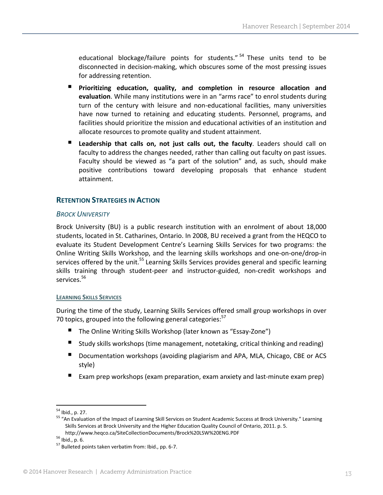educational blockage/failure points for students."<sup>54</sup> These units tend to be disconnected in decision‐making, which obscures some of the most pressing issues for addressing retention.

- **Prioritizing education, quality, and completion in resource allocation and evaluation**. While many institutions were in an "arms race" to enrol students during turn of the century with leisure and non‐educational facilities, many universities have now turned to retaining and educating students. Personnel, programs, and facilities should prioritize the mission and educational activities of an institution and allocate resources to promote quality and student attainment.
- **Leadership that calls on, not just calls out, the faculty**. Leaders should call on faculty to address the changes needed, rather than calling out faculty on past issues. Faculty should be viewed as "a part of the solution" and, as such, should make positive contributions toward developing proposals that enhance student attainment.

#### **RETENTION STRATEGIES IN ACTION**

#### *BROCK UNIVERSITY*

Brock University (BU) is a public research institution with an enrolment of about 18,000 students, located in St. Catharines, Ontario. In 2008, BU received a grant from the HEQCO to evaluate its Student Development Centre's Learning Skills Services for two programs: the Online Writing Skills Workshop, and the learning skills workshops and one‐on‐one/drop‐in services offered by the unit.<sup>55</sup> Learning Skills Services provides general and specific learning skills training through student-peer and instructor-guided, non-credit workshops and services.<sup>56</sup>

#### **LEARNING SKILLS SERVICES**

During the time of the study, Learning Skills Services offered small group workshops in over 70 topics, grouped into the following general categories: $57$ 

- The Online Writing Skills Workshop (later known as "Essay‐Zone")
- Study skills workshops (time management, notetaking, critical thinking and reading)
- Documentation workshops (avoiding plagiarism and APA, MLA, Chicago, CBE or ACS style)
- Exam prep workshops (exam preparation, exam anxiety and last-minute exam prep)

<sup>&</sup>lt;sup>54</sup> Ibid., p. 27.<br><sup>55</sup> "An Evaluation of the Impact of Learning Skill Services on Student Academic Success at Brock University." Learning Skills Services at Brock University and the Higher Education Quality Council of Ontario, 2011. p. 5.

http://www.heqco.ca/SiteCollectionDocuments/Brock%20LSW%20ENG.PDF<br>
<sup>56</sup> Ibid., p. 6.<br>
<sup>57</sup> Bulleted points taken verbatim from: Ibid., pp. 6-7.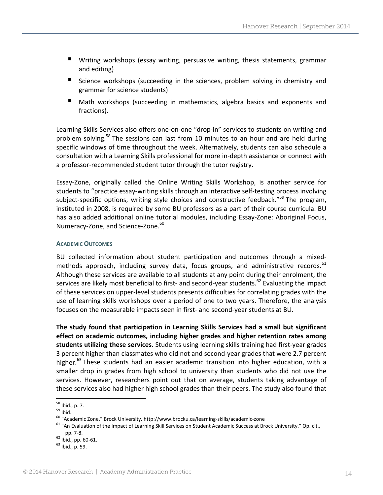- Writing workshops (essay writing, persuasive writing, thesis statements, grammar and editing)
- **Science workshops (succeeding in the sciences, problem solving in chemistry and** grammar for science students)
- **Math workshops (succeeding in mathematics, algebra basics and exponents and** fractions).

Learning Skills Services also offers one-on-one "drop-in" services to students on writing and problem solving.<sup>58</sup> The sessions can last from 10 minutes to an hour and are held during specific windows of time throughout the week. Alternatively, students can also schedule a consultation with a Learning Skills professional for more in‐depth assistance or connect with a professor‐recommended student tutor through the tutor registry.

Essay‐Zone, originally called the Online Writing Skills Workshop, is another service for students to "practice essay‐writing skills through an interactive self‐testing process involving subject-specific options, writing style choices and constructive feedback."<sup>59</sup> The program, instituted in 2008, is required by some BU professors as a part of their course curricula. BU has also added additional online tutorial modules, including Essay-Zone: Aboriginal Focus, Numeracy-Zone, and Science-Zone.<sup>60</sup>

#### **ACADEMIC OUTCOMES**

BU collected information about student participation and outcomes through a mixedmethods approach, including survey data, focus groups, and administrative records. $61$ Although these services are available to all students at any point during their enrolment, the services are likely most beneficial to first- and second-year students.<sup>62</sup> Evaluating the impact of these services on upper‐level students presents difficulties for correlating grades with the use of learning skills workshops over a period of one to two years. Therefore, the analysis focuses on the measurable impacts seen in first- and second-year students at BU.

**The study found that participation in Learning Skills Services had a small but significant effect on academic outcomes, including higher grades and higher retention rates among students utilizing these services.** Students using learning skills training had first‐year grades 3 percent higher than classmates who did not and second‐year grades that were 2.7 percent higher.<sup>63</sup> These students had an easier academic transition into higher education, with a smaller drop in grades from high school to university than students who did not use the services. However, researchers point out that on average, students taking advantage of these services also had higher high school grades than their peers. The study also found that

<sup>&</sup>lt;sup>58</sup> Ibid., p. 7.<br><sup>59</sup> Ibid.<br><sup>60</sup> "Academic Zone." Brock University. http://www.brocku.ca/learning-skills/academic-zone<br><sup>61</sup> "An Evaluation of the Impact of Learning Skill Services on Student Academic Success at Brock Univ pp. 7-8.<br><sup>62</sup> Ibid., pp. 60-61.<br><sup>63</sup> Ibid., p. 59.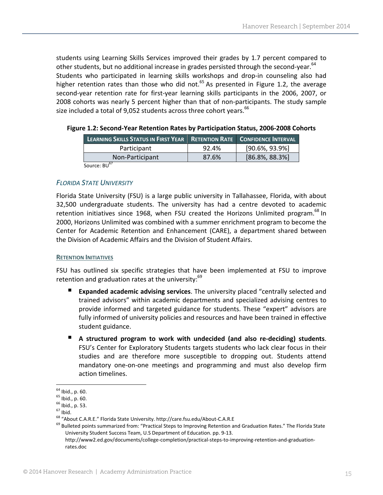students using Learning Skills Services improved their grades by 1.7 percent compared to other students, but no additional increase in grades persisted through the second-year.<sup>64</sup> Students who participated in learning skills workshops and drop-in counseling also had higher retention rates than those who did not.<sup>65</sup> As presented in Figure 1.2, the average second-year retention rate for first-year learning skills participants in the 2006, 2007, or 2008 cohorts was nearly 5 percent higher than that of non‐participants. The study sample size included a total of 9,052 students across three cohort years. $^{66}$ 

| LEARNING SKILLS STATUS IN FIRST YEAR RETENTION RATE CONFIDENCE INTERVAL |       |                    |
|-------------------------------------------------------------------------|-------|--------------------|
| Participant                                                             | 92.4% | $[90.6\%, 93.9\%]$ |
| Non-Participant                                                         | 87.6% | $[86.8\%, 88.3\%]$ |
| Source: BU <sup>67</sup>                                                |       |                    |

**Figure 1.2: Second‐Year Retention Rates by Participation Status, 2006‐2008 Cohorts**

#### *FLORIDA STATE UNIVERSITY*

Florida State University (FSU) is a large public university in Tallahassee, Florida, with about 32,500 undergraduate students. The university has had a centre devoted to academic retention initiatives since 1968, when FSU created the Horizons Unlimited program.<sup>68</sup> In 2000, Horizons Unlimited was combined with a summer enrichment program to become the Center for Academic Retention and Enhancement (CARE), a department shared between the Division of Academic Affairs and the Division of Student Affairs.

#### **RETENTION INITIATIVES**

FSU has outlined six specific strategies that have been implemented at FSU to improve retention and graduation rates at the university: $^{69}$ 

- **Expanded academic advising services**. The university placed "centrally selected and trained advisors" within academic departments and specialized advising centres to provide informed and targeted guidance for students. These "expert" advisors are fully informed of university policies and resources and have been trained in effective student guidance.
- **A structured program to work with undecided (and also re‐deciding) students**. FSU's Center for Exploratory Students targets students who lack clear focus in their studies and are therefore more susceptible to dropping out. Students attend mandatory one‐on‐one meetings and programming and must also develop firm action timelines.

<sup>&</sup>lt;sup>64</sup> Ibid., p. 60.<br><sup>65</sup> Ibid., p. 60.<br><sup>66</sup> Ibid., p. 53.<br><sup>67</sup> Ibid.<br><sup>68</sup> "About C.A.R.E." Florida State University. http://care.fsu.edu/About-C.A.R.E<br><sup>69</sup> Bulleted points summarized from: "Practical Steps to Improving Ret University Student Success Team, U.S Department of Education. pp. 9‐13.

http://www2.ed.gov/documents/college‐completion/practical‐steps‐to‐improving‐retention‐and‐graduation‐ rates.doc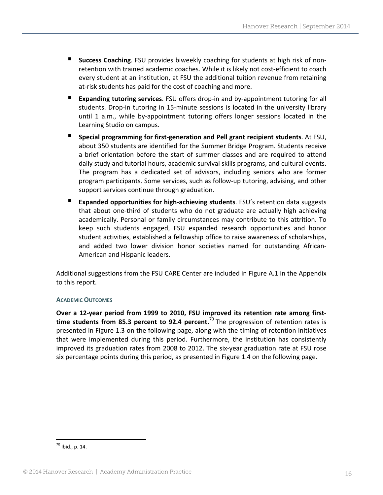- **Success Coaching**. FSU provides biweekly coaching for students at high risk of nonretention with trained academic coaches. While it is likely not cost‐efficient to coach every student at an institution, at FSU the additional tuition revenue from retaining at-risk students has paid for the cost of coaching and more.
- **Expanding tutoring services**. FSU offers drop‐in and by‐appointment tutoring for all students. Drop‐in tutoring in 15‐minute sessions is located in the university library until 1 a.m., while by‐appointment tutoring offers longer sessions located in the Learning Studio on campus.
- **Special programming for first‐generation and Pell grant recipient students**. At FSU, about 350 students are identified for the Summer Bridge Program. Students receive a brief orientation before the start of summer classes and are required to attend daily study and tutorial hours, academic survival skills programs, and cultural events. The program has a dedicated set of advisors, including seniors who are former program participants. Some services, such as follow‐up tutoring, advising, and other support services continue through graduation.
- **Expanded opportunities for high-achieving students. FSU's retention data suggests** that about one‐third of students who do not graduate are actually high achieving academically. Personal or family circumstances may contribute to this attrition. To keep such students engaged, FSU expanded research opportunities and honor student activities, established a fellowship office to raise awareness of scholarships, and added two lower division honor societies named for outstanding African‐ American and Hispanic leaders.

Additional suggestions from the FSU CARE Center are included in Figure A.1 in the Appendix to this report.

#### **ACADEMIC OUTCOMES**

**Over a 12‐year period from 1999 to 2010, FSU improved its retention rate among first‐ time students from 85.3 percent to 92.4 percent.**<sup>70</sup> The progression of retention rates is presented in Figure 1.3 on the following page, along with the timing of retention initiatives that were implemented during this period. Furthermore, the institution has consistently improved its graduation rates from 2008 to 2012. The six‐year graduation rate at FSU rose six percentage points during this period, as presented in Figure 1.4 on the following page.

 <sup>70</sup> Ibid., p. 14.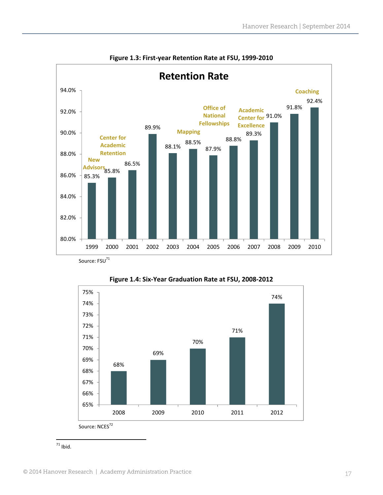

**Figure 1.3: First‐year Retention Rate at FSU, 1999‐2010**





 $71$  Ibid.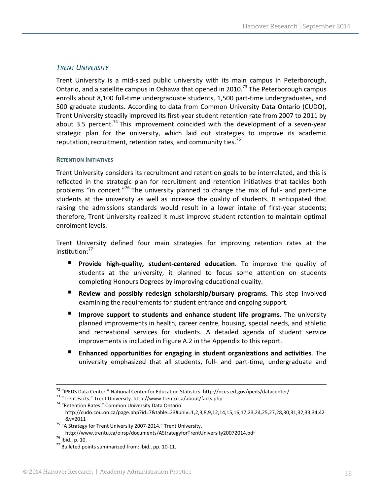#### *TRENT UNIVERSITY*

Trent University is a mid‐sized public university with its main campus in Peterborough, Ontario, and a satellite campus in Oshawa that opened in 2010.<sup>73</sup> The Peterborough campus enrolls about 8,100 full‐time undergraduate students, 1,500 part‐time undergraduates, and 500 graduate students. According to data from Common University Data Ontario (CUDO), Trent University steadily improved its first-year student retention rate from 2007 to 2011 by about 3.5 percent.<sup>74</sup> This improvement coincided with the development of a seven-year strategic plan for the university, which laid out strategies to improve its academic reputation, recruitment, retention rates, and community ties.<sup>75</sup>

#### **RETENTION INITIATIVES**

Trent University considers its recruitment and retention goals to be interrelated, and this is reflected in the strategic plan for recruitment and retention initiatives that tackles both problems "in concert."<sup>76</sup> The university planned to change the mix of full- and part-time students at the university as well as increase the quality of students. It anticipated that raising the admissions standards would result in a lower intake of first-year students; therefore, Trent University realized it must improve student retention to maintain optimal enrolment levels.

Trent University defined four main strategies for improving retention rates at the institution:<sup>77</sup>

- **Provide high‐quality, student‐centered education**. To improve the quality of students at the university, it planned to focus some attention on students completing Honours Degrees by improving educational quality.
- **Review and possibly redesign scholarship/bursary programs.** This step involved examining the requirements for student entrance and ongoing support.
- **Improve support to students and enhance student life programs**. The university planned improvements in health, career centre, housing, special needs, and athletic and recreational services for students. A detailed agenda of student service improvements is included in Figure A.2 in the Appendix to this report.
- **Enhanced opportunities for engaging in student organizations and activities**. The university emphasized that all students, full‐ and part‐time, undergraduate and

<sup>&</sup>lt;sup>72</sup> "IPEDS Data Center." National Center for Education Statistics. http://nces.ed.gov/ipeds/datacenter/<br><sup>73</sup> "Trent Facts." Trent University. http://www.trentu.ca/about/facts.php<br><sup>74</sup> "Retention Rates." Common University

http://cudo.cou.on.ca/page.php?id=7&table=23#univ=1,2,3,8,9,12,14,15,16,17,23,24,25,27,28,30,31,32,33,34,42

<sup>&</sup>amp;y=2011<br><sup>75</sup> "A Strategy for Trent University 2007-2014." Trent University.

http://www.trentu.ca/oirsp/documents/AStrategyforTrentUniversity20072014.pdf<br><sup>76</sup> Ibid., p. 10.<br><sup>77</sup> Bulleted points summarized from: Ibid., pp. 10-11.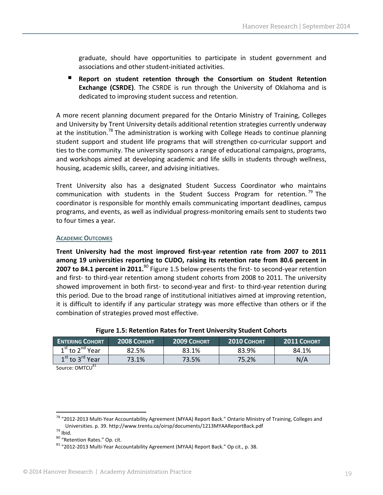graduate, should have opportunities to participate in student government and associations and other student‐initiated activities.

 **Report on student retention through the Consortium on Student Retention Exchange (CSRDE)**. The CSRDE is run through the University of Oklahoma and is dedicated to improving student success and retention.

A more recent planning document prepared for the Ontario Ministry of Training, Colleges and University by Trent University details additional retention strategies currently underway at the institution.<sup>78</sup> The administration is working with College Heads to continue planning student support and student life programs that will strengthen co-curricular support and ties to the community. The university sponsors a range of educational campaigns, programs, and workshops aimed at developing academic and life skills in students through wellness, housing, academic skills, career, and advising initiatives.

Trent University also has a designated Student Success Coordinator who maintains communication with students in the Student Success Program for retention.<sup>79</sup> The coordinator is responsible for monthly emails communicating important deadlines, campus programs, and events, as well as individual progress‐monitoring emails sent to students two to four times a year.

#### **ACADEMIC OUTCOMES**

**Trent University had the most improved first‐year retention rate from 2007 to 2011 among 19 universities reporting to CUDO, raising its retention rate from 80.6 percent in 2007 to 84.1 percent in 2011.**<sup>80</sup> Figure 1.5 below presents the first‐ to second‐year retention and first- to third-year retention among student cohorts from 2008 to 2011. The university showed improvement in both first‐ to second‐year and first‐ to third‐year retention during this period. Due to the broad range of institutional initiatives aimed at improving retention, it is difficult to identify if any particular strategy was more effective than others or if the combination of strategies proved most effective.

| <b>ENTERING COHORT</b> | <b>2008 COHORT</b> | <b>2009 COHORT</b> | 2010 COHORT | <b>2011 COHORT</b> |
|------------------------|--------------------|--------------------|-------------|--------------------|
| $1st$ to $2nd$ Year    | 82.5%              | 83.1%              | 83.9%       | 84.1%              |
| $1st$ to $3rd$ Year    | 73.1%              | 73.5%              | 75.2%       | N/A                |

#### **Figure 1.5: Retention Rates for Trent University Student Cohorts**

Source: OMTCU<sup>81</sup>

<sup>&</sup>lt;sup>78</sup> "2012-2013 Multi-Year Accountability Agreement (MYAA) Report Back." Ontario Ministry of Training, Colleges and<br>Universities. p. 39. http://www.trentu.ca/oirsp/documents/1213MYAAReportBack.pdf

<sup>&</sup>lt;sup>79</sup> Ibid.<br><sup>80</sup> "Retention Rates." Op. cit.<br><sup>81</sup> "2012‐2013 Multi‐Year Accountability Agreement (MYAA) Report Back." Op cit., p. 38.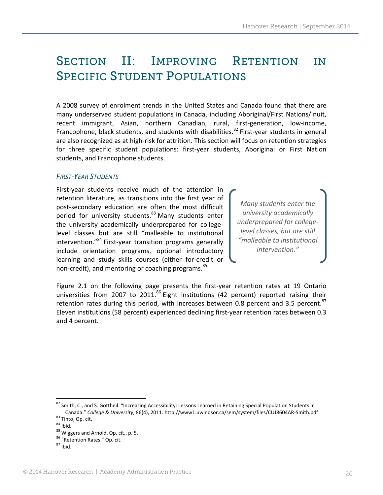### SECTION II: IMPROVING RETENTION IN SPECIFIC STUDENT POPULATIONS

A 2008 survey of enrolment trends in the United States and Canada found that there are many underserved student populations in Canada, including Aboriginal/First Nations/Inuit, recent immigrant, Asian, northern Canadian, rural, first‐generation, low‐income, Francophone, black students, and students with disabilities.<sup>82</sup> First-year students in general are also recognized as at high-risk for attrition. This section will focus on retention strategies for three specific student populations: first‐year students, Aboriginal or First Nation students, and Francophone students.

#### *FIRST‐YEAR STUDENTS*

First-year students receive much of the attention in retention literature, as transitions into the first year of post‐secondary education are often the most difficult period for university students.<sup>83</sup> Many students enter the university academically underprepared for college‐ level classes but are still "malleable to institutional intervention."<sup>84</sup> First-year transition programs generally include orientation programs, optional introductory learning and study skills courses (either for‐credit or non-credit), and mentoring or coaching programs.<sup>85</sup>

*Many students enter the university academically underprepared for college‐ level classes, but are still "malleable to institutional intervention."*

Figure 2.1 on the following page presents the first-year retention rates at 19 Ontario universities from 2007 to 2011.<sup>86</sup> Eight institutions (42 percent) reported raising their retention rates during this period, with increases between 0.8 percent and 3.5 percent.  $87$ Eleven institutions (58 percent) experienced declining first‐year retention rates between 0.3 and 4 percent.

<sup>82</sup> Smith, C., and S. Gottheil. "Increasing Accessibility: Lessons Learned in Retaining Special Population Students in Canada." College & University, 86(4), 2011. http://www1.uwindsor.ca/sem/system/files/CUJ8604AR-Smith.pdf<br><sup>83</sup> Tinto, Op. cit.<br><sup>84</sup> Ibid.<br><sup>85</sup> Wiggers and Arnold, Op. cit., p. 5.<br><sup>85</sup> "Retention Rates." Op. cit.<br><sup>85</sup> "Reten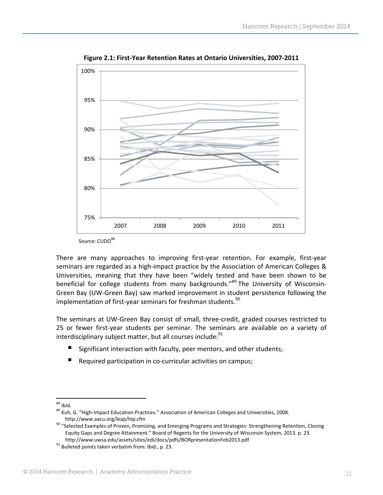

**Figure 2.1: First‐Year Retention Rates at Ontario Universities, 2007‐2011**

Source: CUDO88

There are many approaches to improving first‐year retention. For example, first‐year seminars are regarded as a high‐impact practice by the Association of American Colleges & Universities, meaning that they have been "widely tested and have been shown to be beneficial for college students from many backgrounds."<sup>89</sup> The University of Wisconsin-Green Bay (UW‐Green Bay) saw marked improvement in student persistence following the implementation of first-year seminars for freshman students.<sup>90</sup>

The seminars at UW‐Green Bay consist of small, three‐credit, graded courses restricted to 25 or fewer first-year students per seminar. The seminars are available on a variety of interdisciplinary subject matter, but all courses include: $91$ 

- Significant interaction with faculty, peer mentors, and other students;
- Required participation in co-curricular activities on campus;

<sup>&</sup>lt;sup>88</sup> Ibid.<br><sup>89</sup> Kuh, G. "High-Impact Education Practices." Association of American Colleges and Universities, 2008.

http://www.aacu.org/leap/hip.cfm<br><sup>90</sup> "Selected Examples of Proven, Promising, and Emerging Programs and Strategies: Strengthening Retention, Closing Equity Gaps and Degree Attainment." Board of Regents for the University of Wisconsin System, 2013. p. 23. http://www.uwsa.edu/assets/sites/edi/docs/pdfs/BORpresentationFeb2013.pdf <sup>91</sup> Bulleted points taken verbatim from: Ibid., p. 23.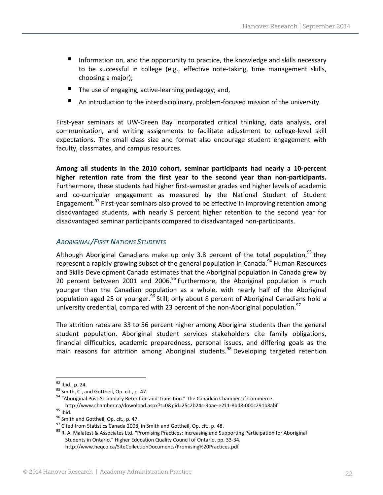- Information on, and the opportunity to practice, the knowledge and skills necessary to be successful in college (e.g., effective note‐taking, time management skills, choosing a major);
- The use of engaging, active-learning pedagogy; and,
- An introduction to the interdisciplinary, problem‐focused mission of the university.

First-year seminars at UW-Green Bay incorporated critical thinking, data analysis, oral communication, and writing assignments to facilitate adjustment to college-level skill expectations. The small class size and format also encourage student engagement with faculty, classmates, and campus resources.

**Among all students in the 2010 cohort, seminar participants had nearly a 10‐percent higher retention rate from the first year to the second year than non‐participants.** Furthermore, these students had higher first‐semester grades and higher levels of academic and co-curricular engagement as measured by the National Student of Student Engagement.<sup>92</sup> First-year seminars also proved to be effective in improving retention among disadvantaged students, with nearly 9 percent higher retention to the second year for disadvantaged seminar participants compared to disadvantaged non‐participants.

#### *ABORIGINAL/FIRST NATIONS STUDENTS*

Although Aboriginal Canadians make up only 3.8 percent of the total population,  $93$  they represent a rapidly growing subset of the general population in Canada. $^{94}$  Human Resources and Skills Development Canada estimates that the Aboriginal population in Canada grew by 20 percent between 2001 and 2006.<sup>95</sup> Furthermore, the Aboriginal population is much younger than the Canadian population as a whole, with nearly half of the Aboriginal population aged 25 or younger.<sup>96</sup> Still, only about 8 percent of Aboriginal Canadians hold a university credential, compared with 23 percent of the non-Aboriginal population.<sup>97</sup>

The attrition rates are 33 to 56 percent higher among Aboriginal students than the general student population. Aboriginal student services stakeholders cite family obligations, financial difficulties, academic preparedness, personal issues, and differing goals as the main reasons for attrition among Aboriginal students.<sup>98</sup> Developing targeted retention

<sup>&</sup>lt;sup>92</sup> Ibid., p. 24.<br><sup>93</sup> Smith, C., and Gottheil, Op. cit., p. 47.<br><sup>94</sup> "Aboriginal Post-Secondary Retention and Transition." The Canadian Chamber of Commerce. http://www.chamber.ca/download.aspx?t=0&pid=25c2b24c-9bae-e211-8bd8-000c291b8abf<br><sup>95</sup> lbid.<br><sup>96</sup> Smith and Gottheil, Op. cit., p. 47.<br><sup>97</sup> Cited from Statistics Canada 2008, in Smith and Gottheil, Op. cit., p. 48.<br><sup>98</sup> R.

Students in Ontario." Higher Education Quality Council of Ontario. pp. 33‐34. http://www.heqco.ca/SiteCollectionDocuments/Promising%20Practices.pdf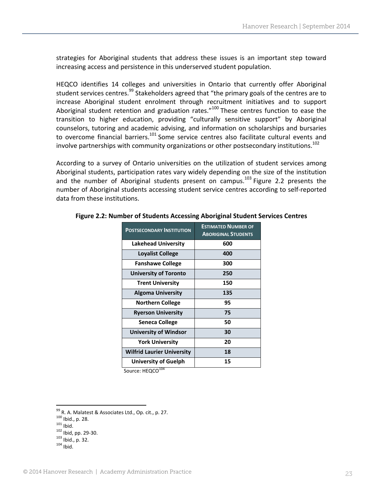strategies for Aboriginal students that address these issues is an important step toward increasing access and persistence in this underserved student population.

HEQCO identifies 14 colleges and universities in Ontario that currently offer Aboriginal student services centres.<sup>99</sup> Stakeholders agreed that "the primary goals of the centres are to increase Aboriginal student enrolment through recruitment initiatives and to support Aboriginal student retention and graduation rates." $100$  These centres function to ease the transition to higher education, providing "culturally sensitive support" by Aboriginal counselors, tutoring and academic advising, and information on scholarships and bursaries to overcome financial barriers.<sup>101</sup> Some service centres also facilitate cultural events and involve partnerships with community organizations or other postsecondary institutions.<sup>102</sup>

According to a survey of Ontario universities on the utilization of student services among Aboriginal students, participation rates vary widely depending on the size of the institution and the number of Aboriginal students present on campus.<sup>103</sup> Figure 2.2 presents the number of Aboriginal students accessing student service centres according to self‐reported data from these institutions.

| <b>POSTSECONDARY INSTITUTION</b>  | <b>ESTIMATED NUMBER OF</b><br><b>ABORIGINAL STUDENTS</b> |
|-----------------------------------|----------------------------------------------------------|
| <b>Lakehead University</b>        | 600                                                      |
| <b>Loyalist College</b>           | 400                                                      |
| <b>Fanshawe College</b>           | 300                                                      |
| <b>University of Toronto</b>      | 250                                                      |
| <b>Trent University</b>           | 150                                                      |
| <b>Algoma University</b>          | 135                                                      |
| <b>Northern College</b>           | 95                                                       |
| <b>Ryerson University</b>         | 75                                                       |
| <b>Seneca College</b>             | 50                                                       |
| <b>University of Windsor</b>      | 30                                                       |
| <b>York University</b>            | 20                                                       |
| <b>Wilfrid Laurier University</b> | 18                                                       |
| University of Guelph              | 15                                                       |
|                                   |                                                          |

#### **Figure 2.2: Number of Students Accessing Aboriginal Student Services Centres**

Source: HEQCO<sup>104</sup>

<sup>&</sup>lt;sup>99</sup> R. A. Malatest & Associates Ltd., Op. cit., p. 27.<br><sup>100</sup> Ibid., p. 28.<br><sup>101</sup> Ibid.<br><sup>102</sup> Ibid. pp. 29-30.<br><sup>103</sup> Ibid., p. 32.<br><sup>104</sup> Ibid.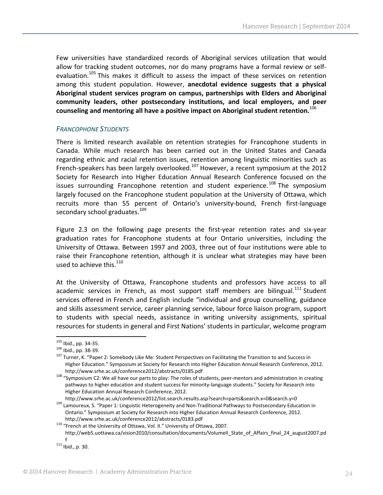Few universities have standardized records of Aboriginal services utilization that would allow for tracking student outcomes, nor do many programs have a formal review or self‐ evaluation.<sup>105</sup> This makes it difficult to assess the impact of these services on retention among this student population. However, **anecdotal evidence suggests that a physical Aboriginal student services program on campus, partnerships with Elders and Aboriginal community leaders, other postsecondary institutions, and local employers, and peer counseling and mentoring all have a positive impact on Aboriginal student retention.**<sup>106</sup>

#### *FRANCOPHONE STUDENTS*

There is limited research available on retention strategies for Francophone students in Canada. While much research has been carried out in the United States and Canada regarding ethnic and racial retention issues, retention among linguistic minorities such as French-speakers has been largely overlooked.<sup>107</sup> However, a recent symposium at the 2012 Society for Research into Higher Education Annual Research Conference focused on the issues surrounding Francophone retention and student experience.<sup>108</sup> The symposium largely focused on the Francophone student population at the University of Ottawa, which recruits more than 55 percent of Ontario's university‐bound, French first‐language secondary school graduates.<sup>109</sup>

Figure 2.3 on the following page presents the first-year retention rates and six-year graduation rates for Francophone students at four Ontario universities, including the University of Ottawa. Between 1997 and 2003, three out of four institutions were able to raise their Francophone retention, although it is unclear what strategies may have been used to achieve this. $110$ 

At the University of Ottawa, Francophone students and professors have access to all academic services in French, as most support staff members are bilingual.<sup>111</sup> Student services offered in French and English include "individual and group counselling, guidance and skills assessment service, career planning service, labour force liaison program, support to students with special needs, assistance in writing university assignments, spiritual resources for students in general and First Nations' students in particular, welcome program

<sup>&</sup>lt;sup>105</sup> Ibid., pp. 34-35.<br><sup>106</sup> Ibid., pp. 38-39.<br><sup>107</sup> Turner, K. "Paper 2: Somebody Like Me: Student Perspectives on Facilitating the Transition to and Success in Higher Education." Symposium at Society for Research into Higher Education Annual Research Conference, 2012.

http://www.srhe.ac.uk/conference2012/abstracts/0185.pdf<br><sup>108</sup> "Symposium C2: We all have our parts to play: The roles of students, peer-mentors and administration in creating pathways to higher education and student success for minority-language students." Society for Research into Higher Education Annual Research Conference, 2012.<br>http://www.srhe.ac.uk/conference2012/list.search.results.asp?search=parts&search.x=0&search.y=0

 $109$  Lamoureux, S. "Paper 1: Linguistic Heterogeneity and Non-Traditional Pathways to Postsecondary Education in Ontario." Symposium at Society for Research into Higher Education Annual Research Conference, 2012.

http://www.srhe.ac.uk/conference2012/abstracts/0183.pdf <sup>110</sup> "French at the University of Ottawa, Vol. II." University of Ottawa, 2007. http://web5.uottawa.ca/vision2010/consultation/documents/VolumeII\_State\_of\_Affairs\_final\_24\_august2007.pd f<br> $^{111}$  Ibid., p. 30.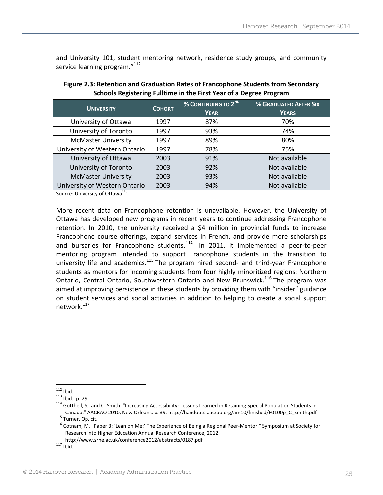and University 101, student mentoring network, residence study groups, and community service learning program."<sup>112</sup>

| <b>UNIVERSITY</b>             | <b>COHORT</b> | <b>% CONTINUING TO 2<sup>ND</sup></b><br><b>YEAR</b> | % GRADUATED AFTER SIX<br><b>YEARS</b> |
|-------------------------------|---------------|------------------------------------------------------|---------------------------------------|
| University of Ottawa          | 1997          | 87%                                                  | 70%                                   |
| University of Toronto         | 1997          | 93%                                                  | 74%                                   |
| <b>McMaster University</b>    | 1997          | 89%                                                  | 80%                                   |
| University of Western Ontario | 1997          | 78%                                                  | 75%                                   |
| University of Ottawa          | 2003          | 91%                                                  | Not available                         |
| University of Toronto         | 2003          | 92%                                                  | Not available                         |
| <b>McMaster University</b>    | 2003          | 93%                                                  | Not available                         |
| University of Western Ontario | 2003          | 94%                                                  | Not available                         |

#### **Figure 2.3: Retention and Graduation Rates of Francophone Students from Secondary Schools Registering Fulltime in the First Year of a Degree Program**

Source: University of Ottawa<sup>113</sup>

More recent data on Francophone retention is unavailable. However, the University of Ottawa has developed new programs in recent years to continue addressing Francophone retention. In 2010, the university received a \$4 million in provincial funds to increase Francophone course offerings, expand services in French, and provide more scholarships and bursaries for Francophone students.<sup>114</sup> In 2011, it implemented a peer-to-peer mentoring program intended to support Francophone students in the transition to university life and academics.<sup>115</sup> The program hired second- and third-year Francophone students as mentors for incoming students from four highly minoritized regions: Northern Ontario, Central Ontario, Southwestern Ontario and New Brunswick.<sup>116</sup> The program was aimed at improving persistence in these students by providing them with "insider" guidance on student services and social activities in addition to helping to create a social support network.117

<sup>&</sup>lt;sup>112</sup> Ibid.<br><sup>113</sup> Ibid., p. 29.<br><sup>114</sup> Gottheil, S., and C. Smith. "Increasing Accessibility: Lessons Learned in Retaining Special Population Students in Canada." AACRAO 2010, New Orleans. p. 39. http://handouts.aacrao.org/am10/finished/F0100p\_C\_Smith.pdf<br><sup>115</sup> Turner, Op. cit.<br><sup>116</sup> Cotnam, M. "Paper 3: 'Lean on Me:' The Experience of Being a Regional Peer-Mentor." Symposi

Research into Higher Education Annual Research Conference, 2012. http://www.srhe.ac.uk/conference2012/abstracts/0187.pdf <sup>117</sup> Ibid.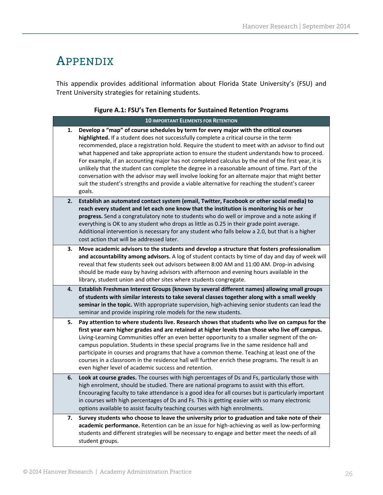### APPENDIX

This appendix provides additional information about Florida State University's (FSU) and Trent University strategies for retaining students.

#### **Figure A.1: FSU's Ten Elements for Sustained Retention Programs**

|    | <b>10 IMPORTANT ELEMENTS FOR RETENTION</b>                                                                                                                                                                                                                                                                                                                                                                                                                                                                                                                                                                                                                                                                                                                                                               |
|----|----------------------------------------------------------------------------------------------------------------------------------------------------------------------------------------------------------------------------------------------------------------------------------------------------------------------------------------------------------------------------------------------------------------------------------------------------------------------------------------------------------------------------------------------------------------------------------------------------------------------------------------------------------------------------------------------------------------------------------------------------------------------------------------------------------|
| 1. | Develop a "map" of course schedules by term for every major with the critical courses<br>highlighted. If a student does not successfully complete a critical course in the term<br>recommended, place a registration hold. Require the student to meet with an advisor to find out<br>what happened and take appropriate action to ensure the student understands how to proceed.<br>For example, if an accounting major has not completed calculus by the end of the first year, it is<br>unlikely that the student can complete the degree in a reasonable amount of time. Part of the<br>conversation with the advisor may well involve looking for an alternate major that might better<br>suit the student's strengths and provide a viable alternative for reaching the student's career<br>goals. |
| 2. | Establish an automated contact system (email, Twitter, Facebook or other social media) to<br>reach every student and let each one know that the institution is monitoring his or her<br>progress. Send a congratulatory note to students who do well or improve and a note asking if<br>everything is OK to any student who drops as little as 0.25 in their grade point average.<br>Additional intervention is necessary for any student who falls below a 2.0, but that is a higher<br>cost action that will be addressed later.                                                                                                                                                                                                                                                                       |
| 3. | Move academic advisors to the students and develop a structure that fosters professionalism<br>and accountability among advisors. A log of student contacts by time of day and day of week will<br>reveal that few students seek out advisors between 8:00 AM and 11:00 AM. Drop-in advising<br>should be made easy by having advisors with afternoon and evening hours available in the<br>library, student union and other sites where students congregate.                                                                                                                                                                                                                                                                                                                                            |
| 4. | Establish Freshman Interest Groups (known by several different names) allowing small groups<br>of students with similar interests to take several classes together along with a small weekly<br>seminar in the topic. With appropriate supervision, high-achieving senior students can lead the<br>seminar and provide inspiring role models for the new students.                                                                                                                                                                                                                                                                                                                                                                                                                                       |
| 5. | Pay attention to where students live. Research shows that students who live on campus for the<br>first year earn higher grades and are retained at higher levels than those who live off campus.<br>Living-Learning Communities offer an even better opportunity to a smaller segment of the on-<br>campus population. Students in these special programs live in the same residence hall and<br>participate in courses and programs that have a common theme. Teaching at least one of the<br>courses in a classroom in the residence hall will further enrich these programs. The result is an<br>even higher level of academic success and retention.                                                                                                                                                 |
| 6. | Look at course grades. The courses with high percentages of Ds and Fs, particularly those with<br>high enrolment, should be studied. There are national programs to assist with this effort.<br>Encouraging faculty to take attendance is a good idea for all courses but is particularly important<br>in courses with high percentages of Ds and Fs. This is getting easier with so many electronic<br>options available to assist faculty teaching courses with high enrolments.                                                                                                                                                                                                                                                                                                                       |
| 7. | Survey students who choose to leave the university prior to graduation and take note of their<br>academic performance. Retention can be an issue for high-achieving as well as low-performing<br>students and different strategies will be necessary to engage and better meet the needs of all<br>student groups.                                                                                                                                                                                                                                                                                                                                                                                                                                                                                       |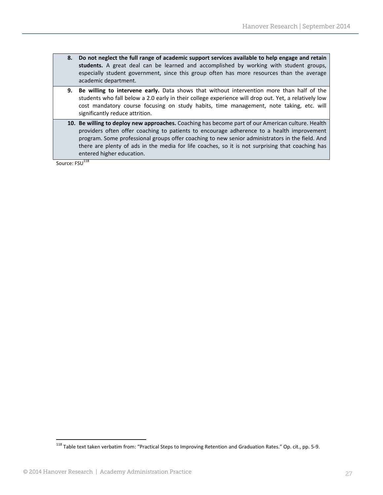- **8. Do not neglect the full range of academic support services available to help engage and retain students.** A great deal can be learned and accomplished by working with student groups, especially student government, since this group often has more resources than the average academic department.
- **9. Be willing to intervene early.** Data shows that without intervention more than half of the students who fall below a 2.0 early in their college experience will drop out. Yet, a relatively low cost mandatory course focusing on study habits, time management, note taking, etc. will significantly reduce attrition.
- **10. Be willing to deploy new approaches.** Coaching has become part of our American culture. Health providers often offer coaching to patients to encourage adherence to a health improvement program. Some professional groups offer coaching to new senior administrators in the field. And there are plenty of ads in the media for life coaches, so it is not surprising that coaching has entered higher education.

Source: FSU<sup>118</sup>

<sup>118</sup> Table text taken verbatim from: "Practical Steps to Improving Retention and Graduation Rates." Op. cit., pp. 5‐9.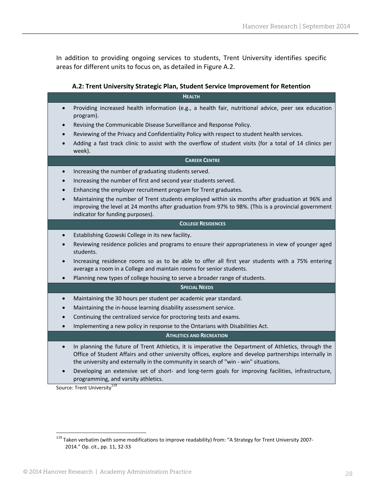In addition to providing ongoing services to students, Trent University identifies specific areas for different units to focus on, as detailed in Figure A.2.

#### **A.2: Trent University Strategic Plan, Student Service Improvement for Retention**

| <b>HEALTH</b>                                                                                                                                                                                                                                                                                                      |
|--------------------------------------------------------------------------------------------------------------------------------------------------------------------------------------------------------------------------------------------------------------------------------------------------------------------|
| Providing increased health information (e.g., a health fair, nutritional advice, peer sex education<br>program).                                                                                                                                                                                                   |
| Revising the Communicable Disease Surveillance and Response Policy.                                                                                                                                                                                                                                                |
| Reviewing of the Privacy and Confidentiality Policy with respect to student health services.                                                                                                                                                                                                                       |
| Adding a fast track clinic to assist with the overflow of student visits (for a total of 14 clinics per<br>week).                                                                                                                                                                                                  |
| <b>CAREER CENTRE</b>                                                                                                                                                                                                                                                                                               |
| Increasing the number of graduating students served.                                                                                                                                                                                                                                                               |
| Increasing the number of first and second year students served.                                                                                                                                                                                                                                                    |
| Enhancing the employer recruitment program for Trent graduates.                                                                                                                                                                                                                                                    |
| Maintaining the number of Trent students employed within six months after graduation at 96% and<br>improving the level at 24 months after graduation from 97% to 98%. (This is a provincial government<br>indicator for funding purposes).                                                                         |
| <b>COLLEGE RESIDENCES</b>                                                                                                                                                                                                                                                                                          |
| Establishing Gzowski College in its new facility.                                                                                                                                                                                                                                                                  |
| Reviewing residence policies and programs to ensure their appropriateness in view of younger aged<br>students.                                                                                                                                                                                                     |
| Increasing residence rooms so as to be able to offer all first year students with a 75% entering<br>average a room in a College and maintain rooms for senior students.                                                                                                                                            |
| Planning new types of college housing to serve a broader range of students.                                                                                                                                                                                                                                        |
| <b>SPECIAL NEEDS</b>                                                                                                                                                                                                                                                                                               |
| Maintaining the 30 hours per student per academic year standard.<br>$\bullet$                                                                                                                                                                                                                                      |
| Maintaining the in-house learning disability assessment service.                                                                                                                                                                                                                                                   |
| Continuing the centralized service for proctoring tests and exams.                                                                                                                                                                                                                                                 |
| Implementing a new policy in response to the Ontarians with Disabilities Act.<br>$\bullet$                                                                                                                                                                                                                         |
| <b>ATHLETICS AND RECREATION</b>                                                                                                                                                                                                                                                                                    |
| In planning the future of Trent Athletics, it is imperative the Department of Athletics, through the<br>$\bullet$<br>Office of Student Affairs and other university offices, explore and develop partnerships internally in<br>the university and externally in the community in search of "win - win" situations. |
| Developing an extensive set of short- and long-term goals for improving facilities, infrastructure,<br>programming, and varsity athletics.                                                                                                                                                                         |

Source: Trent University<sup>119</sup>

<sup>&</sup>lt;sup>119</sup> Taken verbatim (with some modifications to improve readability) from: "A Strategy for Trent University 2007-2014." Op. cit., pp. 11, 32‐33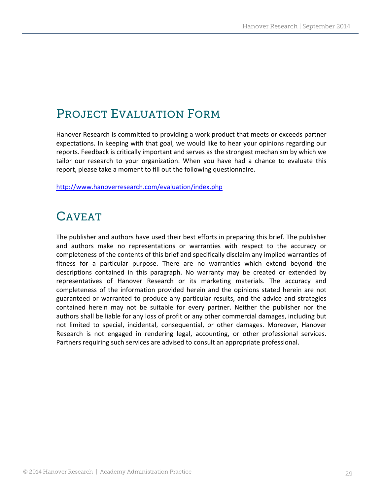# PROJECT EVALUATION FORM

Hanover Research is committed to providing a work product that meets or exceeds partner expectations. In keeping with that goal, we would like to hear your opinions regarding our reports. Feedback is critically important and serves as the strongest mechanism by which we tailor our research to your organization. When you have had a chance to evaluate this report, please take a moment to fill out the following questionnaire.

http://www.hanoverresearch.com/evaluation/index.php

### CAVEAT

The publisher and authors have used their best efforts in preparing this brief. The publisher and authors make no representations or warranties with respect to the accuracy or completeness of the contents of this brief and specifically disclaim any implied warranties of fitness for a particular purpose. There are no warranties which extend beyond the descriptions contained in this paragraph. No warranty may be created or extended by representatives of Hanover Research or its marketing materials. The accuracy and completeness of the information provided herein and the opinions stated herein are not guaranteed or warranted to produce any particular results, and the advice and strategies contained herein may not be suitable for every partner. Neither the publisher nor the authors shall be liable for any loss of profit or any other commercial damages, including but not limited to special, incidental, consequential, or other damages. Moreover, Hanover Research is not engaged in rendering legal, accounting, or other professional services. Partners requiring such services are advised to consult an appropriate professional.